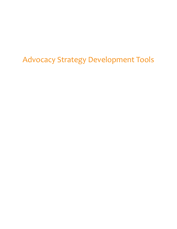Advocacy Strategy Development Tools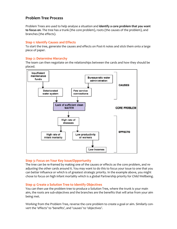# **Problem Tree Process**

Problem Trees are used to help analyse a situation and **identify a core problem that you want to focus on**. The tree has a trunk (the core problem), roots (the causes of the problem), and branches (the effects).

# **Step 1: Identify Causes and Effects**

To start the tree, generate the causes and effects on Post-it notes and stick them onto a large piece of paper.

# **Step 2: Determine Hierarchy**

The team can then negotiate on the relationships between the cards and how they should be placed.



# **Step 3: Focus on Your Key Issue/Opportunity**

The tree can be re-framed by making one of the causes or effects as the core problem, and readjusting the other cards around it. You may want to do this to focus your issue to one that you can better influence or which is of greatest strategic priority. In the example above, you might chose to focus on high infant mortality which is a global Partnership priority for Child Wellbeing.

# **Step 4: Create a Solution Tree to Identify Objectives**

You can then use the problem tree to produce a Solution Tree, where the trunk is your main aim, the roots are sub‐objectives and the branches are the benefits that will arise from your aim being met.

Working from the Problem Tree, reverse the core problem to create a goal or aim. Similarly convert the 'effects' to 'benefits', and 'causes' to 'objectives'.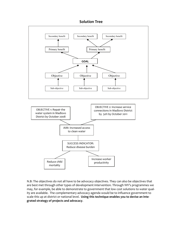# **Solution Tree**



N.B: The objectives do not all have to be advocacy objectives. They can also be objectives that are best met through other types of development intervention. Through WV's programmes we may, for example, be able to demonstrate to government that low cost solutions to water quality are available. The complementary advocacy agenda would be to influence government to scale this up at district or national level. **Using this technique enables you to devise an inte‐ grated strategy of projects and advocacy**.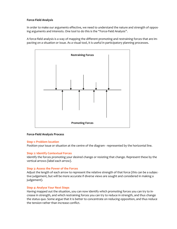### **Force‐Field Analysis**

In order to make our arguments effective, we need to understand the nature and strength of opposing arguments and interests. One tool to do this is the "Force-Field Analysis".

A force-field analysis is a way of mapping the different promoting and restraining forces that are impacting on a situation or issue. As a visual tool, it is useful in participatory planning processes.



### **Force‐Field Analysis Process**

### **Step 1: Problem location**

Position your issue or situation at the centre of the diagram - represented by the horizontal line.

### **Step 2: Identify Contextual Forces**

Identify the forces promoting your desired change or resisting that change. Represent these by the vertical arrows (label each arrow).

### **Step 3: Assess the Power of the Forces**

Adjust the length of each arrow to represent the relative strength of that force (this can be a subjec‐ tive judgement, but will be more accurate if diverse views are sought and considered in making a judgement).

### **Step 4: Analyse Your Next Steps**

Having mapped out the situation, you can now identify which promoting forces you can try to in‐ crease in strength, and which restraining forces you can try to reduce in strength, and thus change the status quo. Some argue that it is better to concentrate on reducing opposition, and thus reduce the tension rather than increase conflict.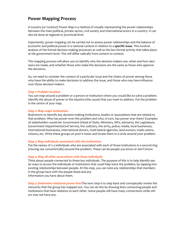# **Power Mapping Process**

A Country (or Context) Power Map is a method of visually representing the power relationships between the main political, private sector, civil society and international actors in a country. It can also be done at regional or provincial level.

Importantly, power mapping can be carried out to assess power relationships and the balance of economic and political power in a national context in relation to a **specific issue**. This involves analysis of the formal decision making processes as well as the less formal activity that takes place at the government level. This will differ radically from context to context.

This mapping process will allow you to identify who the decision makers are, when and how decisions are made, and whether those who make the decisions are the same as those who approve the decisions.

So, we need to consider the context of a particular issue and the chains of power among those who have the ability to make decisions to address the issue, and those who may have influence over those decision makers.

### **Step 1: Problem location**

You can map around a problem or a person or institution where you would like to solve a problem. Identify the abuse of power or the injustice (the cause) that you want to address. Put the problem in the centre of your map.

### **Step 2: Map major institutions**

Brainstorm to Identify key decision-making institutions, bodies or associations that are related to that problem. Who has power over this problem and who, in turn, has power over them? Examples of stakeholders would be: Government (Head of State, Ministers, MPs, advisers), the Legislature, Government Departments/Civil Service, the Judiciary, the army, police, media, local businesses, international businesses, international donors, multi‐lateral agencies, land‐owners, trade unions, citizens, etc. Write these groups on post it notes and locate them in a circle around your problem.

### **Step 3: Map individuals associated with the institutions**

Put the names of 2-3 individuals who are associated with each of those institutions in a second ring (moving out concentrically) around the problem. These can be people you know or don't know.

### **Step 4: Map all other associations with these individuals**

Think about people connected to these key individuals. The purpose of this is to help identify eas‐ ier ways to access the individuals or institutions that could help solve the problem, by tapping into existing relationships between people. At this step, you can note any relationships that members in the group have with the people listed and any information you have about them.

**Step 5: Determine relational power lines**The next step is to step back and conceptually review the networks that the group has mapped out. You can do this by drawing lines connecting people and institutions that have relations to each other. Some people will have many connections while oth‐ ers may not have any.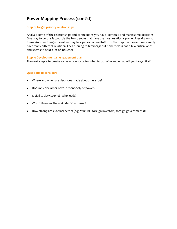# **Power Mapping Process (cont'd)**

# **Step 6: Target priority relationships**

Analyze some of the relationships and connections you have identified and make some decisions. One way to do this is to circle the few people that have the most relational power lines drawn to them. Another thing to consider may be a person or institution in the map that doesn't necessarily have many different relational lines running to him/her/it but nonetheless has a few critical ones and seems to hold a lot of influence.

### **Step 7: Development an engagement plan**

The next step is to create some action steps for what to do. Who and what will you target first?

### **Questions to consider:**

- Where and when are decisions made about the issue?
- Does any one actor have a monopoly of power?
- Is civil society strong? Who leads?
- Who influences the main decision maker?
- How strong are external actors (e.g. WB/IMF, foreign investors, foreign governments)?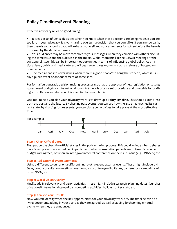# **Policy Timelines/Event Planning**

Effective advocacy relies on good timing:

• It is easier to influence decisions when you know when these decisions are being made. If you are too late in your advocacy, it is very hard to overturn a decision that you don't like. If you are too early, then there is a chance that you will exhaust yourself and your arguments forgotten before the issue is discussed by the decision makers.

• Your audiences may be more receptive to your messages when they coincide with others discussing the same issue and the subject is in the media. Global moments like the G8/G20 Meetings or the UN General Assembly can be important opportunities in terms of influencing global policy. At a na‐ tional level, public and media interest will peak around key moments such as release of budget an‐ nouncements

The media tends to cover issues when there is a good "hook" to hang the story on, which is usually a public event or announcement of some sort.

For formal/bureaucratic decision making processes (such as the approval of new legislation or setting government budgets or international summits) there is often a set procedure and timetable for draft‐ ing, consultation and decision. It is essential to research this.

One tool to help you plan your advocacy work is to draw up a **Policy Timeline**. This should extend into both the past and the future. By charting past events, you can see how the issue has reached its current state; by charting future events, you can plan your activities to take place at the most effective time.



### **Step 1: Chart Official Dates**

First put on the chart the official stages in the policy-making process. This could include when debates have taken place or are scheduled in parliament, when consultation periods are to take place, when budgets are agreed, or when an inter‐governmental conference on the issue is due (e.g. UNGASS) etc.

### **Step 2: Add External Events/Moments**

Using a different colour or on a different line, plot relevent external events. These might include UN Days, donor consultation meetings, elections, visits of foreign dignitaries, conferences, campaigns of other NGOs, etc.

### **Step 3: World Vision Overlay**

Finally, add in relevent World Vision activities. These might include sterategic planning dates, launches of national/international campaigns, competing activities, holidays of key staff, etc.

### **Step 5: Analyse Your Results**

Now you can identify when the key opportunities for your advocacy work are. The timeline can be a living document, adding in your plans as they are agreed, as well as adding forthcoming external events when they are announced.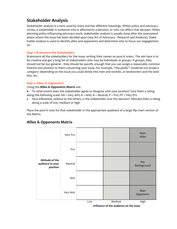# **Stakeholder Analysis**

Stakeholder analysis is a term used by many and has different meanings. Within policy and advocacy circles, a stakeholder is someone who is affected by a decision, or who can affect that decision. When planning policy influencing advocacy work, stakeholder analysis is usually done after the assessment phase where the issue has been decided upon (see Art of Advocacy ‐ Research and Analysis). Stake‐ holder analysis is used to identify allies and opponents and determine who to focus our engagement on.

## **Step 1: Brainstorm the Stakeholders**

Brainstorm all the stakeholders for the issue, writing their names on post-it notes. The aim here is to be creative and get a long list of stakeholders who may be individuals or groups. If groups, they should not be too general – they should be specific enough that you can assign a reasonably common interest and position to them concerning your issue. For example, "the public" would be too broad a category: depending on the issue you could divide into men and women, or landowners and the land‐ less, etc.

## **Step 2: Allies or Opponents?**

Using the **Allies & Opponents Matrix** ask:

- To what extent does the stakeholder agree or disagree with your position? Give them a rating along the following scale:  $AA$  = Very anti;  $A$  = Anti;  $N$  = Neutral;  $P$  = Pro;  $PP$  = Very Pro
- How influential, relative to the others, is the stakeholder over the decision? Allocate them a rating along a scale of low, medium or high

Place the post-it note for that stakeholder in the appropriate quadrant of a large flip chart version of the Matrix.



# **Allies & Opponents Matrix**

**Influence of the audience on the issue**